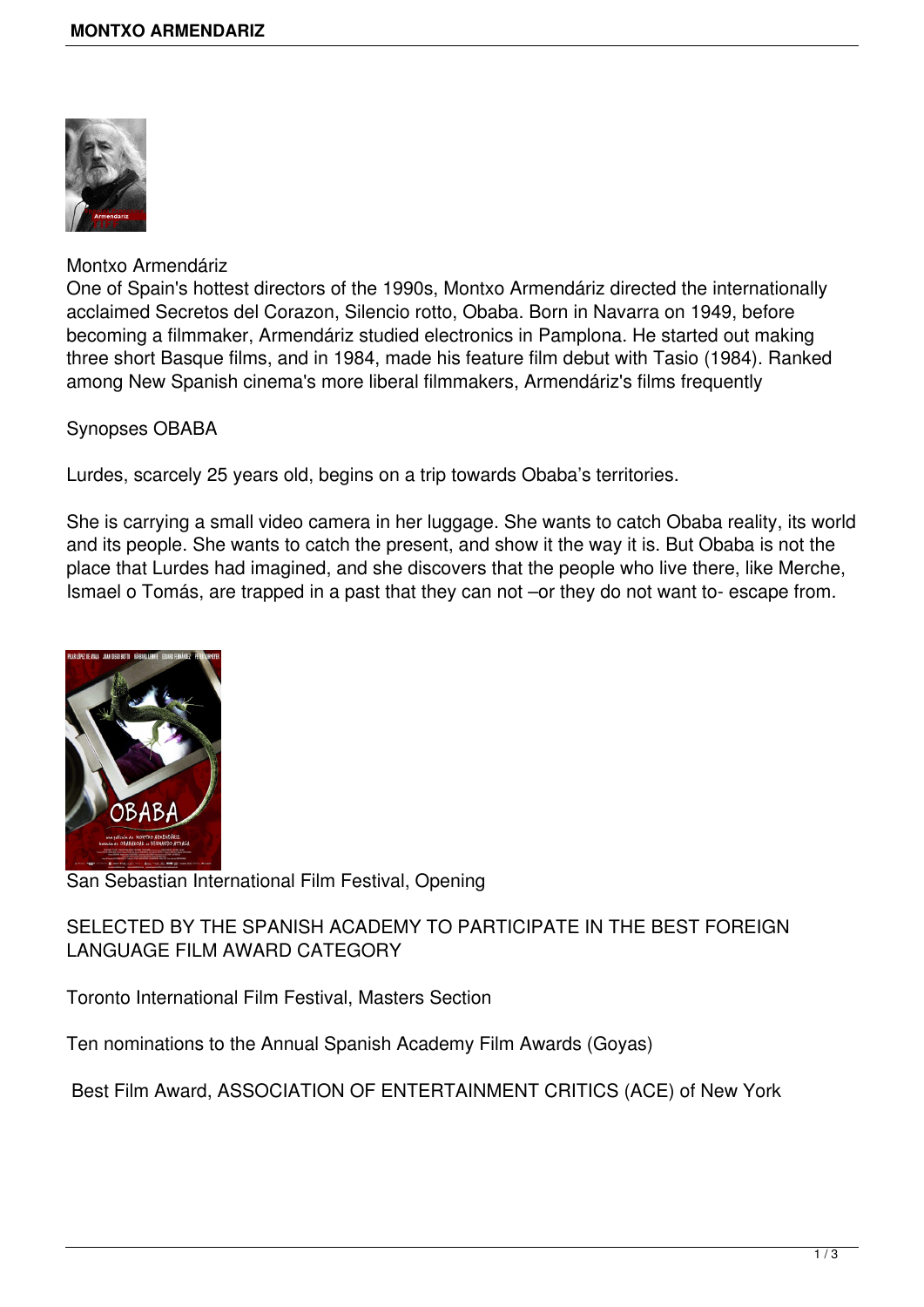

Montxo Armendáriz

One of Spain's hottest directors of the 1990s, Montxo Armendáriz directed the internationally acclaimed Secretos del Corazon, Silencio rotto, Obaba. Born in Navarra on 1949, before becoming a filmmaker, Armendáriz studied electronics in Pamplona. He started out making three short Basque films, and in 1984, made his feature film debut with Tasio (1984). Ranked among New Spanish cinema's more liberal filmmakers, Armendáriz's films frequently

Synopses OBABA

Lurdes, scarcely 25 years old, begins on a trip towards Obaba's territories.

She is carrying a small video camera in her luggage. She wants to catch Obaba reality, its world and its people. She wants to catch the present, and show it the way it is. But Obaba is not the place that Lurdes had imagined, and she discovers that the people who live there, like Merche, Ismael o Tomás, are trapped in a past that they can not –or they do not want to- escape from.



San Sebastian International Film Festival, Opening

SELECTED BY THE SPANISH ACADEMY TO PARTICIPATE IN THE BEST FOREIGN LANGUAGE FILM AWARD CATEGORY

Toronto International Film Festival, Masters Section

Ten nominations to the Annual Spanish Academy Film Awards (Goyas)

Best Film Award, ASSOCIATION OF ENTERTAINMENT CRITICS (ACE) of New York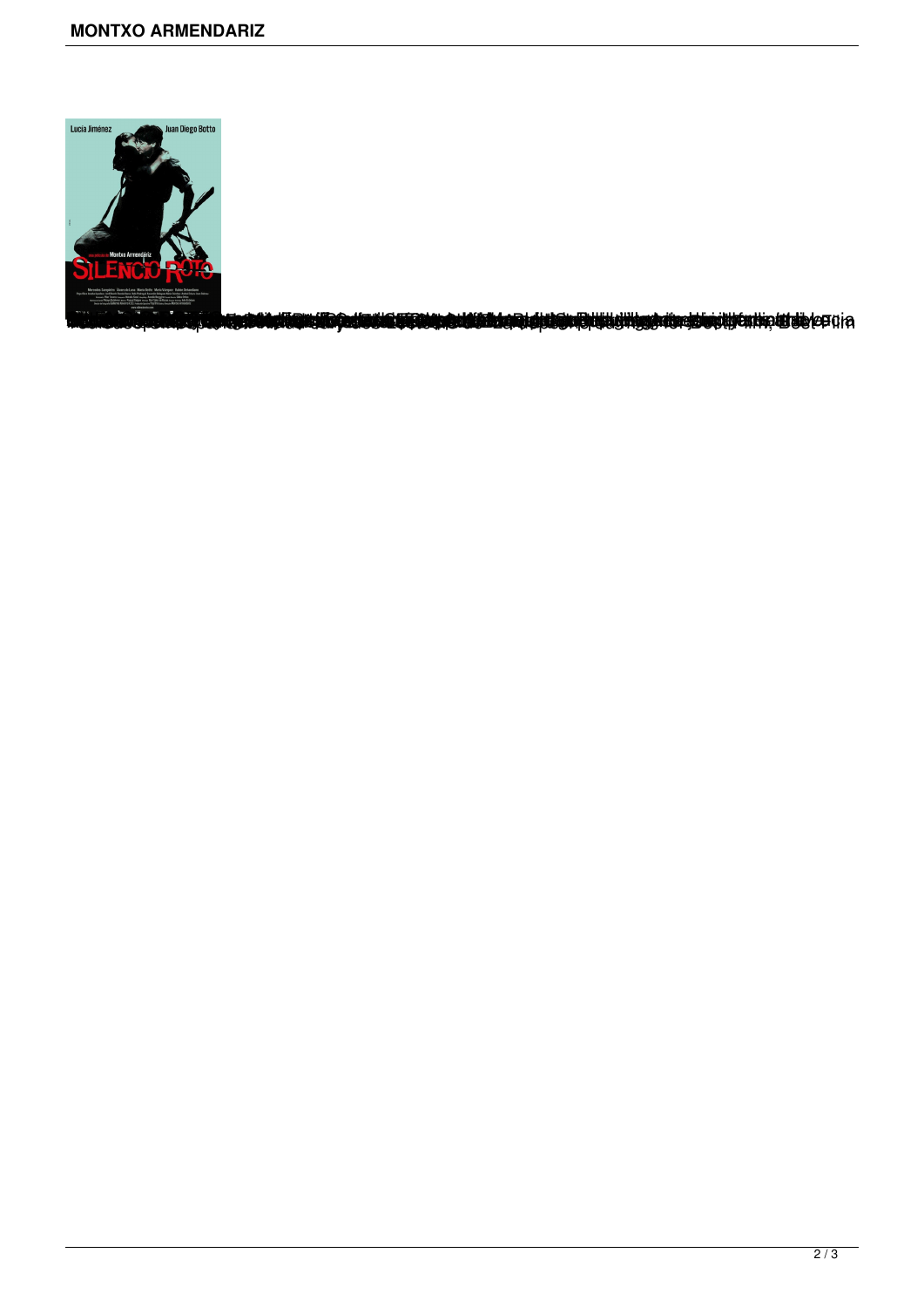

**disperience and model and property of the control of the control of the control of the control of the control of the control of the control of the control of the control of the control of the control of the control of the**